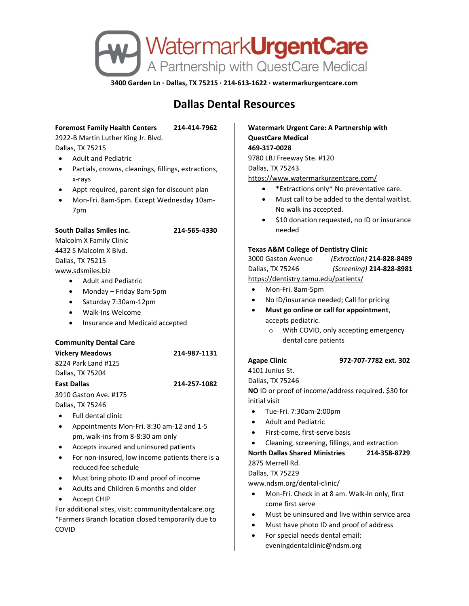

**3400 Garden Ln · Dallas, TX 75215 · 214-613-1622 · watermarkurgentcare.com**

# **Dallas Dental Resources**

# **Foremost Family Health Centers 214-414-7962**

2922-B Martin Luther King Jr. Blvd. Dallas, TX 75215

- Adult and Pediatric
- Partials, crowns, cleanings, fillings, extractions, x-rays
- Appt required, parent sign for discount plan
- Mon-Fri. 8am-5pm. Except Wednesday 10am-7pm

# **South Dallas Smiles Inc. 214-565-4330**

Malcolm X Family Clinic 4432 S Malcolm X Blvd. Dallas, TX 75215

[www.sdsmiles.biz](http://www.sdsmiles.biz/)

- Adult and Pediatric
- Monday Friday 8am-5pm
- Saturday 7:30am-12pm
- Walk-Ins Welcome
- Insurance and Medicaid accepted

# **Community Dental Care**

**Vickery Meadows 214-987-1131** 8224 Park Land #125 Dallas, TX 75204

# **Agape Clinic 972-707-7782 ext. 302**

Dallas, TX 75246

**NO** ID or proof of income/address required. \$30 for initial visit

- Adult and Pediatric
- First-come, first-serve basis
- Cleaning, screening, fillings, and extraction

**North Dallas Shared Ministries 214-358-8729**

www.ndsm.org/dental-clinic/

- Mon-Fri. Check in at 8 am. Walk-In only, first come first serve
- Must be uninsured and live within service area
- Must have photo ID and proof of address
- For special needs dental email: eveningdentalclinic@ndsm.org

# Dallas, TX 75246 • Full dental clinic

3910 Gaston Ave. #175

- Appointments Mon-Fri. 8:30 am-12 and 1-5
- pm, walk-ins from 8-8:30 am only
- Accepts insured and uninsured patients
- For non-insured, low income patients there is a reduced fee schedule

**East Dallas 214-257-1082**

- Must bring photo ID and proof of income
- Adults and Children 6 months and older
- Accept CHIP

For additional sites, visit: communitydentalcare.org \*Farmers Branch location closed temporarily due to COVID

**Watermark Urgent Care: A Partnership with QuestCare Medical 469-317-0028** 9780 LBJ Freeway Ste. #120 Dallas, TX 75243

<https://www.watermarkurgentcare.com/>

- \*Extractions only\* No preventative care.
- Must call to be added to the dental waitlist. No walk ins accepted.
- \$10 donation requested, no ID or insurance needed

### **Texas A&M College of Dentistry Clinic**

3000 Gaston Avenue *(Extraction)* **214-828-8489** Dallas, TX 75246 *(Screening)* **214-828-8981** <https://dentistry.tamu.edu/patients/>

- Mon-Fri. 8am-5pm
- No ID/insurance needed; Call for pricing
- **Must go online or call for appointment**, accepts pediatric.
	- o With COVID, only accepting emergency dental care patients

4101 Junius St.

- 
- 
- 

# • Tue-Fri. 7:30am-2:00pm

- -

# 2875 Merrell Rd.

# Dallas, TX 75229